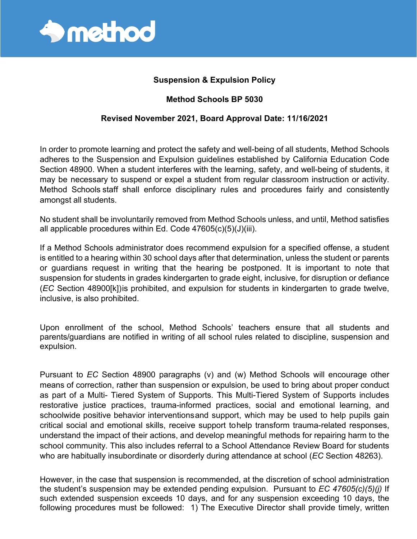

## **Suspension & Expulsion Policy**

## **Method Schools BP 5030**

## **Revised November 2021, Board Approval Date: 11/16/2021**

In order to promote learning and protect the safety and well-being of all students, Method Schools adheres to the Suspension and Expulsion guidelines established by California Education Code Section 48900. When a student interferes with the learning, safety, and well-being of students, it may be necessary to suspend or expel a student from regular classroom instruction or activity. Method Schools staff shall enforce disciplinary rules and procedures fairly and consistently amongst all students.

No student shall be involuntarily removed from Method Schools unless, and until, Method satisfies all applicable procedures within Ed. Code 47605(c)(5)(J)(iii).

If a Method Schools administrator does recommend expulsion for a specified offense, a student is entitled to a hearing within 30 school days after that determination, unless the student or parents or guardians request in writing that the hearing be postponed. It is important to note that suspension for students in grades kindergarten to grade eight, inclusive, for disruption or defiance (*EC* Section 48900[k])is prohibited, and expulsion for students in kindergarten to grade twelve, inclusive, is also prohibited.

Upon enrollment of the school, Method Schools' teachers ensure that all students and parents/guardians are notified in writing of all school rules related to discipline, suspension and expulsion.

Pursuant to *EC* Section 48900 paragraphs (v) and (w) Method Schools will encourage other means of correction, rather than suspension or expulsion, be used to bring about proper conduct as part of a Multi- Tiered System of Supports. This Multi-Tiered System of Supports includes restorative justice practices, trauma-informed practices, social and emotional learning, and schoolwide positive behavior interventionsand support, which may be used to help pupils gain critical social and emotional skills, receive support tohelp transform trauma-related responses, understand the impact of their actions, and develop meaningful methods for repairing harm to the school community. This also includes referral to a School Attendance Review Board for students who are habitually insubordinate or disorderly during attendance at school (*EC* Section 48263).

However, in the case that suspension is recommended, at the discretion of school administration the student's suspension may be extended pending expulsion. Pursuant to *EC 47605(c)(5)(j)* If such extended suspension exceeds 10 days, and for any suspension exceeding 10 days, the following procedures must be followed: 1) The Executive Director shall provide timely, written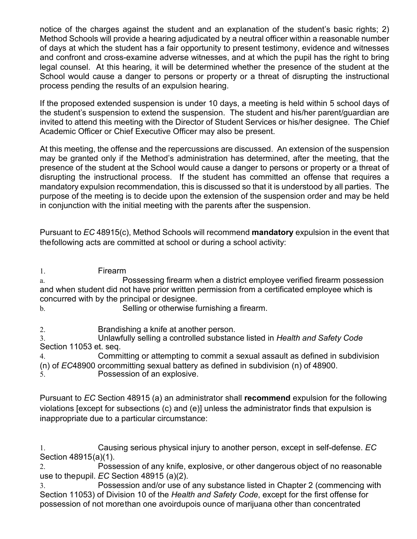notice of the charges against the student and an explanation of the student's basic rights; 2) Method Schools will provide a hearing adjudicated by a neutral officer within a reasonable number of days at which the student has a fair opportunity to present testimony, evidence and witnesses and confront and cross-examine adverse witnesses, and at which the pupil has the right to bring legal counsel. At this hearing, it will be determined whether the presence of the student at the School would cause a danger to persons or property or a threat of disrupting the instructional process pending the results of an expulsion hearing.

If the proposed extended suspension is under 10 days, a meeting is held within 5 school days of the student's suspension to extend the suspension. The student and his/her parent/guardian are invited to attend this meeting with the Director of Student Services or his/her designee. The Chief Academic Officer or Chief Executive Officer may also be present.

At this meeting, the offense and the repercussions are discussed. An extension of the suspension may be granted only if the Method's administration has determined, after the meeting, that the presence of the student at the School would cause a danger to persons or property or a threat of disrupting the instructional process. If the student has committed an offense that requires a mandatory expulsion recommendation, this is discussed so that it is understood by all parties. The purpose of the meeting is to decide upon the extension of the suspension order and may be held in conjunction with the initial meeting with the parents after the suspension.

Pursuant to *EC* 48915(c), Method Schools will recommend **mandatory** expulsion in the event that thefollowing acts are committed at school or during a school activity:

1. Firearm

a. Possessing firearm when a district employee verified firearm possession and when student did not have prior written permission from a certificated employee which is concurred with by the principal or designee.

b. Selling or otherwise furnishing a firearm.

2. Brandishing a knife at another person.

3. Unlawfully selling a controlled substance listed in *Health and Safety Code* Section 11053 et. seq.

4. Committing or attempting to commit a sexual assault as defined in subdivision (n) of *EC*48900 orcommitting sexual battery as defined in subdivision (n) of 48900. 5. Possession of an explosive.

Pursuant to *EC* Section 48915 (a) an administrator shall **recommend** expulsion for the following violations [except for subsections (c) and (e)] unless the administrator finds that expulsion is inappropriate due to a particular circumstance:

1. Causing serious physical injury to another person, except in self-defense. *EC*  Section 48915(a)(1).

2. Possession of any knife, explosive, or other dangerous object of no reasonable use to thepupil. *EC* Section 48915 (a)(2).

3. Possession and/or use of any substance listed in Chapter 2 (commencing with Section 11053) of Division 10 of the *Health and Safety Code*, except for the first offense for possession of not morethan one avoirdupois ounce of marijuana other than concentrated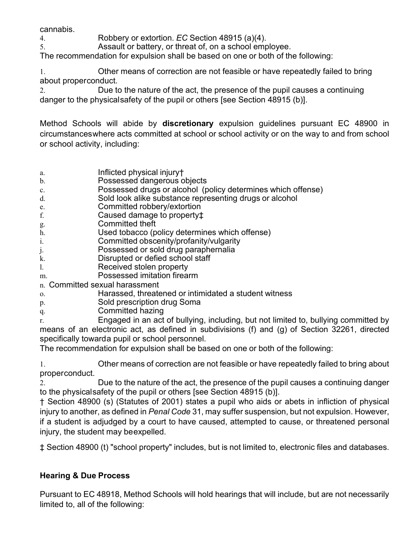cannabis.

4. Robbery or extortion. *EC* Section 48915 (a)(4).

5. Assault or battery, or threat of, on a school employee.

The recommendation for expulsion shall be based on one or both of the following:

1. Other means of correction are not feasible or have repeatedly failed to bring about properconduct.

2. Due to the nature of the act, the presence of the pupil causes a continuing danger to the physicalsafety of the pupil or others [see Section 48915 (b)].

Method Schools will abide by **discretionary** expulsion guidelines pursuant EC 48900 in circumstanceswhere acts committed at school or school activity or on the way to and from school or school activity, including:

- a. Inflicted physical injury†
- b. Possessed dangerous objects
- c. Possessed drugs or alcohol (policy determines which offense)
- d. Sold look alike substance representing drugs or alcohol
- e. Committed robbery/extortion
- f. Caused damage to property‡
- g. Committed theft
- h. Used tobacco (policy determines which offense)
- i. Committed obscenity/profanity/vulgarity
- j. Possessed or sold drug paraphernalia
- k. Disrupted or defied school staff
- l. Received stolen property
- m. Possessed imitation firearm

n. Committed sexual harassment

- o. Harassed, threatened or intimidated a student witness
- p. Sold prescription drug Soma
- q. Committed hazing

r. Engaged in an act of bullying, including, but not limited to, bullying committed by means of an electronic act, as defined in subdivisions (f) and (g) of Section 32261, directed specifically towarda pupil or school personnel.

The recommendation for expulsion shall be based on one or both of the following:

1. Other means of correction are not feasible or have repeatedly failed to bring about properconduct.

2. Due to the nature of the act, the presence of the pupil causes a continuing danger to the physicalsafety of the pupil or others [see Section 48915 (b)].

† Section 48900 (s) (Statutes of 2001) states a pupil who aids or abets in infliction of physical injury to another, as defined in *Penal Code* 31, may suffer suspension, but not expulsion. However, if a student is adjudged by a court to have caused, attempted to cause, or threatened personal injury, the student may beexpelled.

‡ Section 48900 (t) "school property" includes, but is not limited to, electronic files and databases.

## **Hearing & Due Process**

Pursuant to EC 48918, Method Schools will hold hearings that will include, but are not necessarily limited to, all of the following: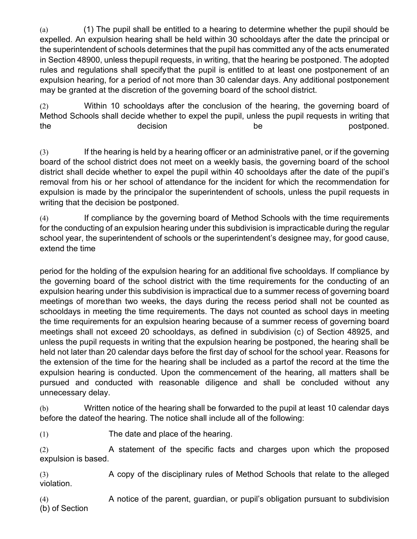(a) (1) The pupil shall be entitled to a hearing to determine whether the pupil should be expelled. An expulsion hearing shall be held within 30 schooldays after the date the principal or the superintendent of schools determines that the pupil has committed any of the acts enumerated in Section 48900, unless thepupil requests, in writing, that the hearing be postponed. The adopted rules and regulations shall specifythat the pupil is entitled to at least one postponement of an expulsion hearing, for a period of not more than 30 calendar days. Any additional postponement may be granted at the discretion of the governing board of the school district.

(2) Within 10 schooldays after the conclusion of the hearing, the governing board of Method Schools shall decide whether to expel the pupil, unless the pupil requests in writing that the the contract the decision be the postponed.

(3) If the hearing is held by a hearing officer or an administrative panel, or if the governing board of the school district does not meet on a weekly basis, the governing board of the school district shall decide whether to expel the pupil within 40 schooldays after the date of the pupil's removal from his or her school of attendance for the incident for which the recommendation for expulsion is made by the principalor the superintendent of schools, unless the pupil requests in writing that the decision be postponed.

(4) If compliance by the governing board of Method Schools with the time requirements for the conducting of an expulsion hearing under this subdivision is impracticable during the regular school year, the superintendent of schools or the superintendent's designee may, for good cause, extend the time

period for the holding of the expulsion hearing for an additional five schooldays. If compliance by the governing board of the school district with the time requirements for the conducting of an expulsion hearing under this subdivision is impractical due to a summer recess of governing board meetings of morethan two weeks, the days during the recess period shall not be counted as schooldays in meeting the time requirements. The days not counted as school days in meeting the time requirements for an expulsion hearing because of a summer recess of governing board meetings shall not exceed 20 schooldays, as defined in subdivision (c) of Section 48925, and unless the pupil requests in writing that the expulsion hearing be postponed, the hearing shall be held not later than 20 calendar days before the first day of school for the school year. Reasons for the extension of the time for the hearing shall be included as a partof the record at the time the expulsion hearing is conducted. Upon the commencement of the hearing, all matters shall be pursued and conducted with reasonable diligence and shall be concluded without any unnecessary delay.

(b) Written notice of the hearing shall be forwarded to the pupil at least 10 calendar days before the dateof the hearing. The notice shall include all of the following:

(1) The date and place of the hearing.

(2) A statement of the specific facts and charges upon which the proposed expulsion is based.

(3) A copy of the disciplinary rules of Method Schools that relate to the alleged violation.

(4) A notice of the parent, guardian, or pupil's obligation pursuant to subdivision (b) of Section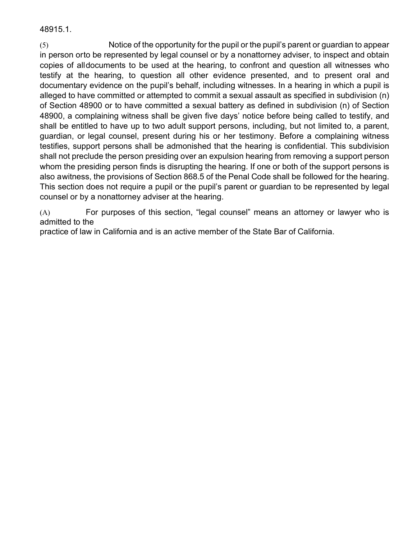48915.1.

(5) Notice of the opportunity for the pupil or the pupil's parent or guardian to appear in person orto be represented by legal counsel or by a nonattorney adviser, to inspect and obtain copies of alldocuments to be used at the hearing, to confront and question all witnesses who testify at the hearing, to question all other evidence presented, and to present oral and documentary evidence on the pupil's behalf, including witnesses. In a hearing in which a pupil is alleged to have committed or attempted to commit a sexual assault as specified in subdivision (n) of Section 48900 or to have committed a sexual battery as defined in subdivision (n) of Section 48900, a complaining witness shall be given five days' notice before being called to testify, and shall be entitled to have up to two adult support persons, including, but not limited to, a parent, guardian, or legal counsel, present during his or her testimony. Before a complaining witness testifies, support persons shall be admonished that the hearing is confidential. This subdivision shall not preclude the person presiding over an expulsion hearing from removing a support person whom the presiding person finds is disrupting the hearing. If one or both of the support persons is also awitness, the provisions of Section 868.5 of the Penal Code shall be followed for the hearing. This section does not require a pupil or the pupil's parent or guardian to be represented by legal counsel or by a nonattorney adviser at the hearing.

(A) For purposes of this section, "legal counsel" means an attorney or lawyer who is admitted to the

practice of law in California and is an active member of the State Bar of California.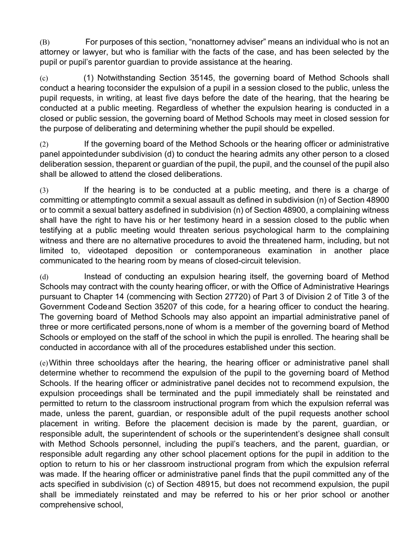(B) For purposes of this section, "nonattorney adviser" means an individual who is not an attorney or lawyer, but who is familiar with the facts of the case, and has been selected by the pupil or pupil's parentor guardian to provide assistance at the hearing.

(c) (1) Notwithstanding Section 35145, the governing board of Method Schools shall conduct a hearing toconsider the expulsion of a pupil in a session closed to the public, unless the pupil requests, in writing, at least five days before the date of the hearing, that the hearing be conducted at a public meeting. Regardless of whether the expulsion hearing is conducted in a closed or public session, the governing board of Method Schools may meet in closed session for the purpose of deliberating and determining whether the pupil should be expelled.

(2) If the governing board of the Method Schools or the hearing officer or administrative panel appointedunder subdivision (d) to conduct the hearing admits any other person to a closed deliberation session, theparent or guardian of the pupil, the pupil, and the counsel of the pupil also shall be allowed to attend the closed deliberations.

(3) If the hearing is to be conducted at a public meeting, and there is a charge of committing or attemptingto commit a sexual assault as defined in subdivision (n) of Section 48900 or to commit a sexual battery asdefined in subdivision (n) of Section 48900, a complaining witness shall have the right to have his or her testimony heard in a session closed to the public when testifying at a public meeting would threaten serious psychological harm to the complaining witness and there are no alternative procedures to avoid the threatened harm, including, but not limited to, videotaped deposition or contemporaneous examination in another place communicated to the hearing room by means of closed-circuit television.

(d) Instead of conducting an expulsion hearing itself, the governing board of Method Schools may contract with the county hearing officer, or with the Office of Administrative Hearings pursuant to Chapter 14 (commencing with Section 27720) of Part 3 of Division 2 of Title 3 of the Government Codeand Section 35207 of this code, for a hearing officer to conduct the hearing. The governing board of Method Schools may also appoint an impartial administrative panel of three or more certificated persons,none of whom is a member of the governing board of Method Schools or employed on the staff of the school in which the pupil is enrolled. The hearing shall be conducted in accordance with all of the procedures established under this section.

(e)Within three schooldays after the hearing, the hearing officer or administrative panel shall determine whether to recommend the expulsion of the pupil to the governing board of Method Schools. If the hearing officer or administrative panel decides not to recommend expulsion, the expulsion proceedings shall be terminated and the pupil immediately shall be reinstated and permitted to return to the classroom instructional program from which the expulsion referral was made, unless the parent, guardian, or responsible adult of the pupil requests another school placement in writing. Before the placement decision is made by the parent, guardian, or responsible adult, the superintendent of schools or the superintendent's designee shall consult with Method Schools personnel, including the pupil's teachers, and the parent, guardian, or responsible adult regarding any other school placement options for the pupil in addition to the option to return to his or her classroom instructional program from which the expulsion referral was made. If the hearing officer or administrative panel finds that the pupil committed any of the acts specified in subdivision (c) of Section 48915, but does not recommend expulsion, the pupil shall be immediately reinstated and may be referred to his or her prior school or another comprehensive school,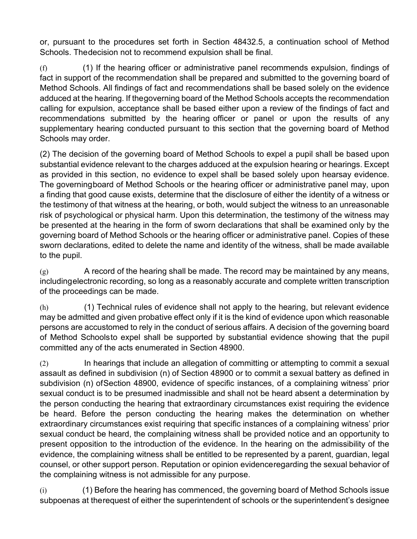or, pursuant to the procedures set forth in Section 48432.5, a continuation school of Method Schools. Thedecision not to recommend expulsion shall be final.

(f) (1) If the hearing officer or administrative panel recommends expulsion, findings of fact in support of the recommendation shall be prepared and submitted to the governing board of Method Schools. All findings of fact and recommendations shall be based solely on the evidence adduced at the hearing. If thegoverning board of the Method Schools accepts the recommendation calling for expulsion, acceptance shall be based either upon a review of the findings of fact and recommendations submitted by the hearing officer or panel or upon the results of any supplementary hearing conducted pursuant to this section that the governing board of Method Schools may order.

(2) The decision of the governing board of Method Schools to expel a pupil shall be based upon substantial evidence relevant to the charges adduced at the expulsion hearing or hearings. Except as provided in this section, no evidence to expel shall be based solely upon hearsay evidence. The governingboard of Method Schools or the hearing officer or administrative panel may, upon a finding that good cause exists, determine that the disclosure of either the identity of a witness or the testimony of that witness at the hearing, or both, would subject the witness to an unreasonable risk of psychological or physical harm. Upon this determination, the testimony of the witness may be presented at the hearing in the form of sworn declarations that shall be examined only by the governing board of Method Schools or the hearing officer or administrative panel. Copies of these sworn declarations, edited to delete the name and identity of the witness, shall be made available to the pupil.

 $(g)$  A record of the hearing shall be made. The record may be maintained by any means, includingelectronic recording, so long as a reasonably accurate and complete written transcription of the proceedings can be made.

(h) (1) Technical rules of evidence shall not apply to the hearing, but relevant evidence may be admitted and given probative effect only if it is the kind of evidence upon which reasonable persons are accustomed to rely in the conduct of serious affairs. A decision of the governing board of Method Schoolsto expel shall be supported by substantial evidence showing that the pupil committed any of the acts enumerated in Section 48900.

(2) In hearings that include an allegation of committing or attempting to commit a sexual assault as defined in subdivision (n) of Section 48900 or to commit a sexual battery as defined in subdivision (n) ofSection 48900, evidence of specific instances, of a complaining witness' prior sexual conduct is to be presumed inadmissible and shall not be heard absent a determination by the person conducting the hearing that extraordinary circumstances exist requiring the evidence be heard. Before the person conducting the hearing makes the determination on whether extraordinary circumstances exist requiring that specific instances of a complaining witness' prior sexual conduct be heard, the complaining witness shall be provided notice and an opportunity to present opposition to the introduction of the evidence. In the hearing on the admissibility of the evidence, the complaining witness shall be entitled to be represented by a parent, guardian, legal counsel, or other support person. Reputation or opinion evidenceregarding the sexual behavior of the complaining witness is not admissible for any purpose.

(i) (1) Before the hearing has commenced, the governing board of Method Schools issue subpoenas at therequest of either the superintendent of schools or the superintendent's designee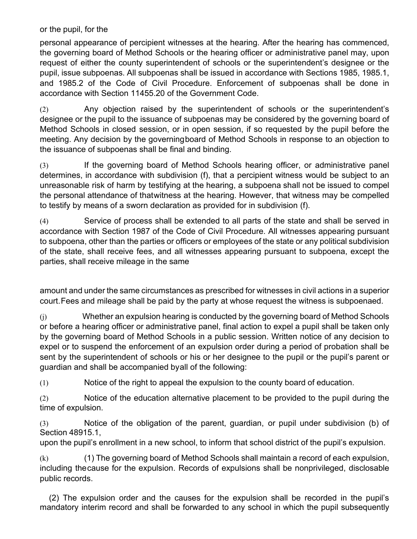or the pupil, for the

personal appearance of percipient witnesses at the hearing. After the hearing has commenced, the governing board of Method Schools or the hearing officer or administrative panel may, upon request of either the county superintendent of schools or the superintendent's designee or the pupil, issue subpoenas. All subpoenas shall be issued in accordance with Sections 1985, 1985.1, and 1985.2 of the Code of Civil Procedure. Enforcement of subpoenas shall be done in accordance with Section 11455.20 of the Government Code.

(2) Any objection raised by the superintendent of schools or the superintendent's designee or the pupil to the issuance of subpoenas may be considered by the governing board of Method Schools in closed session, or in open session, if so requested by the pupil before the meeting. Any decision by the governingboard of Method Schools in response to an objection to the issuance of subpoenas shall be final and binding.

(3) If the governing board of Method Schools hearing officer, or administrative panel determines, in accordance with subdivision (f), that a percipient witness would be subject to an unreasonable risk of harm by testifying at the hearing, a subpoena shall not be issued to compel the personal attendance of thatwitness at the hearing. However, that witness may be compelled to testify by means of a sworn declaration as provided for in subdivision (f).

(4) Service of process shall be extended to all parts of the state and shall be served in accordance with Section 1987 of the Code of Civil Procedure. All witnesses appearing pursuant to subpoena, other than the parties or officers or employees of the state or any political subdivision of the state, shall receive fees, and all witnesses appearing pursuant to subpoena, except the parties, shall receive mileage in the same

amount and under the same circumstances as prescribed for witnesses in civil actions in a superior court.Fees and mileage shall be paid by the party at whose request the witness is subpoenaed.

(j) Whether an expulsion hearing is conducted by the governing board of Method Schools or before a hearing officer or administrative panel, final action to expel a pupil shall be taken only by the governing board of Method Schools in a public session. Written notice of any decision to expel or to suspend the enforcement of an expulsion order during a period of probation shall be sent by the superintendent of schools or his or her designee to the pupil or the pupil's parent or guardian and shall be accompanied byall of the following:

(1) Notice of the right to appeal the expulsion to the county board of education.

(2) Notice of the education alternative placement to be provided to the pupil during the time of expulsion.

(3) Notice of the obligation of the parent, guardian, or pupil under subdivision (b) of Section 48915.1,

upon the pupil's enrollment in a new school, to inform that school district of the pupil's expulsion.

(k) (1) The governing board of Method Schools shall maintain a record of each expulsion, including thecause for the expulsion. Records of expulsions shall be nonprivileged, disclosable public records.

(2) The expulsion order and the causes for the expulsion shall be recorded in the pupil's mandatory interim record and shall be forwarded to any school in which the pupil subsequently